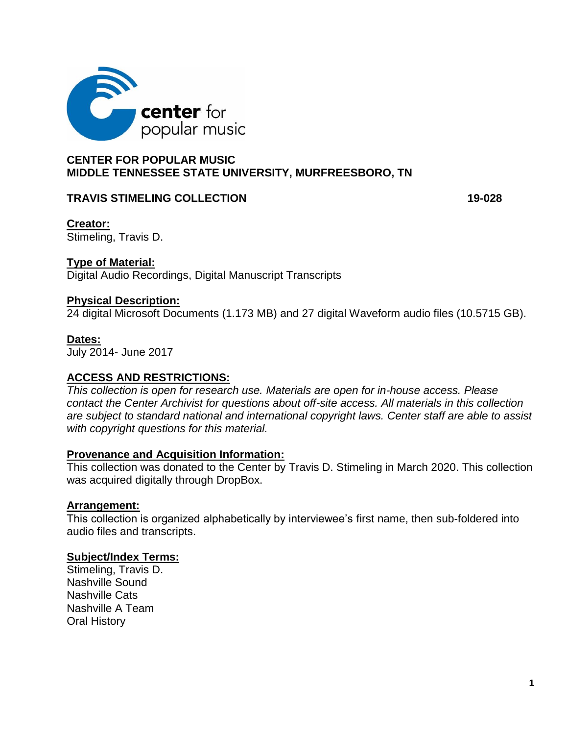

# **CENTER FOR POPULAR MUSIC MIDDLE TENNESSEE STATE UNIVERSITY, MURFREESBORO, TN**

## **TRAVIS STIMELING COLLECTION 19-028**

**Creator:** Stimeling, Travis D.

## **Type of Material:**

Digital Audio Recordings, Digital Manuscript Transcripts

### **Physical Description:**

24 digital Microsoft Documents (1.173 MB) and 27 digital Waveform audio files (10.5715 GB).

#### **Dates:**

July 2014- June 2017

### **ACCESS AND RESTRICTIONS:**

*This collection is open for research use. Materials are open for in-house access. Please contact the Center Archivist for questions about off-site access. All materials in this collection are subject to standard national and international copyright laws. Center staff are able to assist with copyright questions for this material.* 

### **Provenance and Acquisition Information:**

This collection was donated to the Center by Travis D. Stimeling in March 2020. This collection was acquired digitally through DropBox.

### **Arrangement:**

This collection is organized alphabetically by interviewee's first name, then sub-foldered into audio files and transcripts.

### **Subject/Index Terms:**

Stimeling, Travis D. Nashville Sound Nashville Cats Nashville A Team Oral History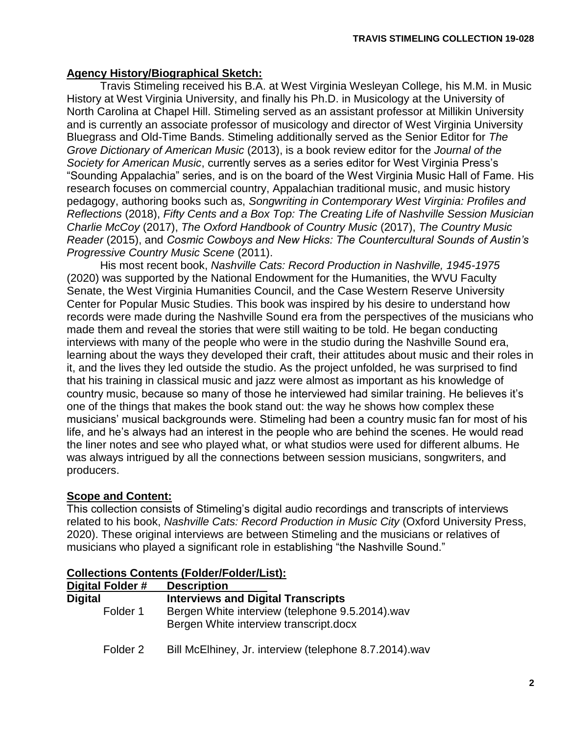## **Agency History/Biographical Sketch:**

Travis Stimeling received his B.A. at West Virginia Wesleyan College, his M.M. in Music History at West Virginia University, and finally his Ph.D. in Musicology at the University of North Carolina at Chapel Hill. Stimeling served as an assistant professor at Millikin University and is currently an associate professor of musicology and director of West Virginia University Bluegrass and Old-Time Bands. Stimeling additionally served as the Senior Editor for *The Grove Dictionary of American Music* (2013), is a book review editor for the *Journal of the Society for American Music*, currently serves as a series editor for West Virginia Press's "Sounding Appalachia" series, and is on the board of the West Virginia Music Hall of Fame. His research focuses on commercial country, Appalachian traditional music, and music history pedagogy, authoring books such as, *Songwriting in Contemporary West Virginia: Profiles and Reflections* (2018), *Fifty Cents and a Box Top: The Creating Life of Nashville Session Musician Charlie McCoy* (2017), *The Oxford Handbook of Country Music* (2017), *The Country Music Reader* (2015), and *Cosmic Cowboys and New Hicks: The Countercultural Sounds of Austin's Progressive Country Music Scene* (2011).

His most recent book, *Nashville Cats: Record Production in Nashville, 1945-1975* (2020) was supported by the National Endowment for the Humanities, the WVU Faculty Senate, the West Virginia Humanities Council, and the Case Western Reserve University Center for Popular Music Studies. This book was inspired by his desire to understand how records were made during the Nashville Sound era from the perspectives of the musicians who made them and reveal the stories that were still waiting to be told. He began conducting interviews with many of the people who were in the studio during the Nashville Sound era, learning about the ways they developed their craft, their attitudes about music and their roles in it, and the lives they led outside the studio. As the project unfolded, he was surprised to find that his training in classical music and jazz were almost as important as his knowledge of country music, because so many of those he interviewed had similar training. He believes it's one of the things that makes the book stand out: the way he shows how complex these musicians' musical backgrounds were. Stimeling had been a country music fan for most of his life, and he's always had an interest in the people who are behind the scenes. He would read the liner notes and see who played what, or what studios were used for different albums. He was always intrigued by all the connections between session musicians, songwriters, and producers.

# **Scope and Content:**

This collection consists of Stimeling's digital audio recordings and transcripts of interviews related to his book, *Nashville Cats: Record Production in Music City* (Oxford University Press, 2020). These original interviews are between Stimeling and the musicians or relatives of musicians who played a significant role in establishing "the Nashville Sound."

| Digital Folder # | <b>Description</b>                                                                        |
|------------------|-------------------------------------------------------------------------------------------|
| <b>Digital</b>   | <b>Interviews and Digital Transcripts</b>                                                 |
| Folder 1         | Bergen White interview (telephone 9.5.2014).wav<br>Bergen White interview transcript.docx |
| Folder 2         | Bill McElhiney, Jr. interview (telephone 8.7.2014).wav                                    |

### **Collections Contents (Folder/Folder/List):**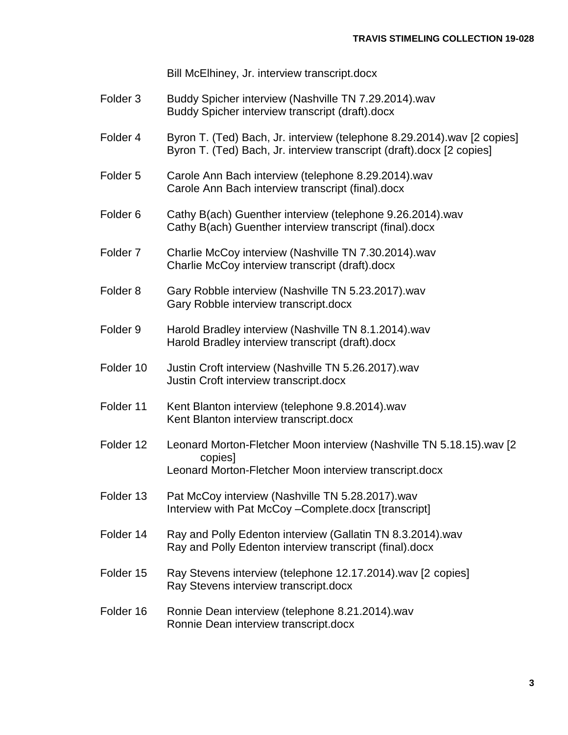Bill McElhiney, Jr. interview transcript.docx

- Folder 3 Buddy Spicher interview (Nashville TN 7.29.2014).wav Buddy Spicher interview transcript (draft).docx
- Folder 4 Byron T. (Ted) Bach, Jr. interview (telephone 8.29.2014).wav [2 copies] Byron T. (Ted) Bach, Jr. interview transcript (draft).docx [2 copies]
- Folder 5 Carole Ann Bach interview (telephone 8.29.2014).wav Carole Ann Bach interview transcript (final).docx
- Folder 6 Cathy B(ach) Guenther interview (telephone 9.26.2014).wav Cathy B(ach) Guenther interview transcript (final).docx
- Folder 7 Charlie McCoy interview (Nashville TN 7.30.2014).wav Charlie McCoy interview transcript (draft).docx
- Folder 8 Gary Robble interview (Nashville TN 5.23.2017).wav Gary Robble interview transcript.docx
- Folder 9 Harold Bradley interview (Nashville TN 8.1.2014).wav Harold Bradley interview transcript (draft).docx
- Folder 10 Justin Croft interview (Nashville TN 5.26.2017).wav Justin Croft interview transcript.docx
- Folder 11 Kent Blanton interview (telephone 9.8.2014).wav Kent Blanton interview transcript.docx
- Folder 12 Leonard Morton-Fletcher Moon interview (Nashville TN 5.18.15).wav [2 copies] Leonard Morton-Fletcher Moon interview transcript.docx
- Folder 13 Pat McCoy interview (Nashville TN 5.28.2017).wav Interview with Pat McCoy –Complete.docx [transcript]
- Folder 14 Ray and Polly Edenton interview (Gallatin TN 8.3.2014).wav Ray and Polly Edenton interview transcript (final).docx
- Folder 15 Ray Stevens interview (telephone 12.17.2014).wav [2 copies] Ray Stevens interview transcript.docx
- Folder 16 Ronnie Dean interview (telephone 8.21.2014).wav Ronnie Dean interview transcript.docx